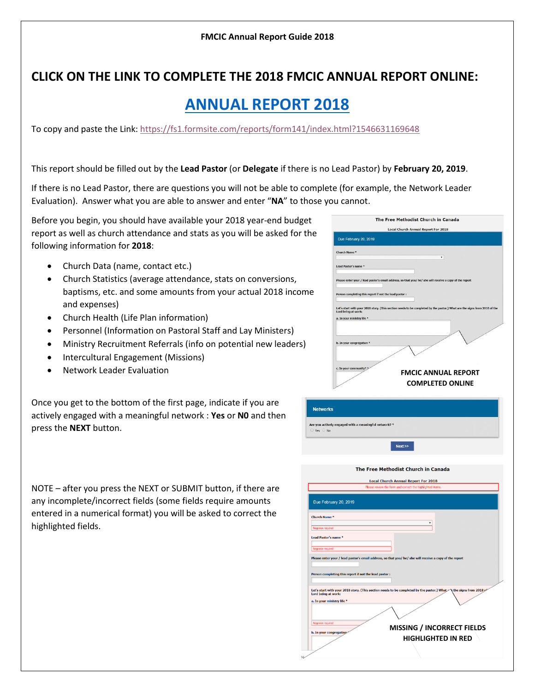## **CLICK ON THE LINK TO COMPLETE THE 2018 FMCIC ANNUAL REPORT ONLINE:**

## **[ANNUAL REPORT 2018](https://fs1.formsite.com/reports/form141/index.html?1546631169648)**

To copy and paste the Link[: https://fs1.formsite.com/reports/form141/index.html?1546631169648](https://fs1.formsite.com/reports/form141/index.html?1546631169648)

This report should be filled out by the **Lead Pastor** (or **Delegate** if there is no Lead Pastor) by **February 20, 2019**.

If there is no Lead Pastor, there are questions you will not be able to complete (for example, the Network Leader Evaluation). Answer what you are able to answer and enter "**NA**" to those you cannot.

Before you begin, you should have available your 2018 year-end budget report as well as church attendance and stats as you will be asked for the following information for **2018**:

- Church Data (name, contact etc.)
- Church Statistics (average attendance, stats on conversions, baptisms, etc. and some amounts from your actual 2018 income and expenses)
- Church Health (Life Plan information)
- Personnel (Information on Pastoral Staff and Lay Ministers)
- Ministry Recruitment Referrals (info on potential new leaders)
- Intercultural Engagement (Missions)
- Network Leader Evaluation

Once you get to the bottom of the first page, indicate if you are actively engaged with a meaningful network : **Yes** or **N0** and then press the **NEXT** button.

NOTE – after you press the NEXT or SUBMIT button, if there are any incomplete/incorrect fields (some fields require amounts entered in a numerical format) you will be asked to correct the highlighted fields.

|       | <b>Local Church Annual Report For 2018</b>                                                                                |
|-------|---------------------------------------------------------------------------------------------------------------------------|
|       | Due February 20, 2019                                                                                                     |
|       | Church Name *                                                                                                             |
|       | $\pmb{\mathbf{v}}$ .                                                                                                      |
|       | Lead Pastor's name *                                                                                                      |
|       |                                                                                                                           |
|       | Please enter your / lead pastor's email address, so that you/ he/ she will receive a copy of the report                   |
|       |                                                                                                                           |
|       | Person completing this report if not the lead pastor :                                                                    |
|       | Let's start with your 2018 story. (This section needs to be completed by the pastor.) What are the signs from 2018 of the |
|       | Lord being at work:                                                                                                       |
|       | a. In your ministry life *                                                                                                |
|       |                                                                                                                           |
|       |                                                                                                                           |
|       | b. In your congregation *                                                                                                 |
|       |                                                                                                                           |
|       |                                                                                                                           |
|       | c. In your community? *<br><b>FMCIC ANNUAL REPORT</b>                                                                     |
|       |                                                                                                                           |
|       | <b>COMPLETED ONLINE</b>                                                                                                   |
|       |                                                                                                                           |
|       |                                                                                                                           |
|       |                                                                                                                           |
|       |                                                                                                                           |
| works |                                                                                                                           |
|       | actively engaged with a meaningful network? *                                                                             |
|       |                                                                                                                           |
|       | Next                                                                                                                      |
|       |                                                                                                                           |
|       |                                                                                                                           |
|       | The Free Methodist Church in Canada                                                                                       |
|       | <b>Local Church Annual Report For 2018</b>                                                                                |
|       | Please review the form and correct the highlighted items.                                                                 |
|       |                                                                                                                           |
|       | <b>February 20, 2019</b>                                                                                                  |
| Mame* |                                                                                                                           |

lease enter your / lead pastor's email address, so that you/ he/ she will receive a copy of the

Let's start with your 2018 story. (This section needs to be completed by the pastor.) What<br>Lord being at work:

erson completing this report if not the lead pastor

 $D<sub>u</sub>$ Churc

Lead F

a. In your ministry life \*

**MISSING / INCORRECT FIELDS HIGHLIGHTED IN RED**